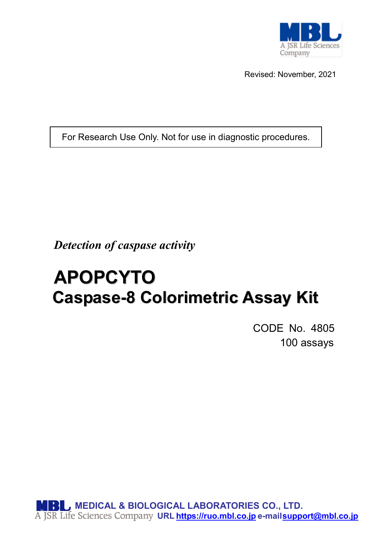

Revised: November, 2021

For Research Use Only. Not for use in diagnostic procedures.

*Detection of caspase activity*

# **APOPCYTO Caspase-8 Colorimetric Assay Kit**

CODE No. 4805 100 assays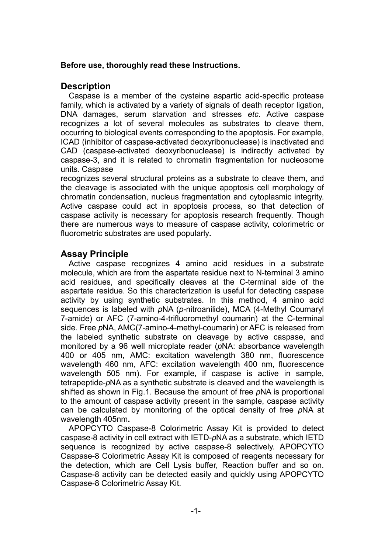#### **Before use, thoroughly read these Instructions.**

#### **Description**

Caspase is a member of the cysteine aspartic acid-specific protease family, which is activated by a variety of signals of death receptor ligation, DNA damages, serum starvation and stresses *etc*. Active caspase recognizes a lot of several molecules as substrates to cleave them, occurring to biological events corresponding to the apoptosis. For example, ICAD (inhibitor of caspase-activated deoxyribonuclease) is inactivated and CAD (caspase-activated deoxyribonuclease) is indirectly activated by caspase-3, and it is related to chromatin fragmentation for nucleosome units. Caspase

recognizes several structural proteins as a substrate to cleave them, and the cleavage is associated with the unique apoptosis cell morphology of chromatin condensation, nucleus fragmentation and cytoplasmic integrity. Active caspase could act in apoptosis process, so that detection of caspase activity is necessary for apoptosis research frequently. Though there are numerous ways to measure of caspase activity, colorimetric or fluorometric substrates are used popularly**.**

#### **Assay Principle**

Active caspase recognizes 4 amino acid residues in a substrate molecule, which are from the aspartate residue next to N-terminal 3 amino acid residues, and specifically cleaves at the C-terminal side of the aspartate residue. So this characterization is useful for detecting caspase activity by using synthetic substrates. In this method, 4 amino acid sequences is labeled with *p*NA (*p*-nitroanilide), MCA (4-Methyl Coumaryl 7-amide) or AFC (7-amino-4-trifluoromethyl coumarin) at the C-terminal side. Free *p*NA, AMC(7-amino-4-methyl-coumarin) or AFC is released from the labeled synthetic substrate on cleavage by active caspase, and monitored by a 96 well microplate reader (*p*NA: absorbance wavelength 400 or 405 nm, AMC: excitation wavelength 380 nm, fluorescence wavelength 460 nm, AFC: excitation wavelength 400 nm, fluorescence wavelength 505 nm). For example, if caspase is active in sample, tetrapeptide-*p*NA as a synthetic substrate is cleaved and the wavelength is shifted as shown in Fig.1. Because the amount of free *p*NA is proportional to the amount of caspase activity present in the sample, caspase activity can be calculated by monitoring of the optical density of free *p*NA at wavelength 405nm**.**

APOPCYTO Caspase-8 Colorimetric Assay Kit is provided to detect caspase-8 activity in cell extract with IETD-*p*NA as a substrate, which IETD sequence is recognized by active caspase-8 selectively. APOPCYTO Caspase-8 Colorimetric Assay Kit is composed of reagents necessary for the detection, which are Cell Lysis buffer, Reaction buffer and so on. Caspase-8 activity can be detected easily and quickly using APOPCYTO Caspase-8 Colorimetric Assay Kit.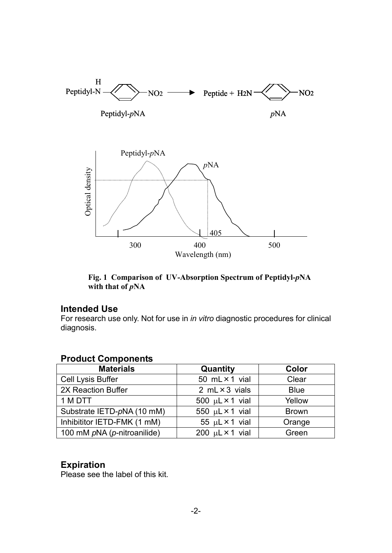

**Fig. 1 Comparison of UV-Absorption Spectrum of Peptidyl-***p***NA with that of** *p***NA**

#### **Intended Use**

For research use only. Not for use in *in vitro* diagnostic procedures for clinical diagnosis.

#### **Product Components**

| <b>Materials</b>            | Quantity                    | Color        |
|-----------------------------|-----------------------------|--------------|
| Cell Lysis Buffer           | 50 $mL \times 1$ vial       | Clear        |
| 2X Reaction Buffer          | 2 $mL \times 3$ vials       | <b>Blue</b>  |
| 1 M DTT                     | 500 $\mu$ L × 1 vial        | Yellow       |
| Substrate IETD-pNA (10 mM)  | 550 $\mu$ L × 1 vial        | <b>Brown</b> |
| Inhibititor IETD-FMK (1 mM) | 55 $\mu$ L × 1 vial         | Orange       |
| 100 mM pNA (p-nitroanilide) | 200 $\mu$ L $\times$ 1 vial | Green        |

### **Expiration**

Please see the label of this kit.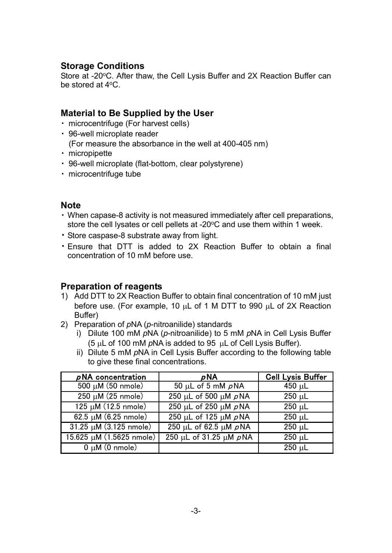### **Storage Conditions**

Store at -20°C. After thaw, the Cell Lysis Buffer and 2X Reaction Buffer can be stored at 4oC.

### **Material to Be Supplied by the User**

- ・ microcentrifuge (For harvest cells)
- ・ 96-well microplate reader (For measure the absorbance in the well at 400-405 nm)
- ・ micropipette
- ・ 96-well microplate (flat-bottom, clear polystyrene)
- ・ microcentrifuge tube

### **Note**

- ・ When capase-8 activity is not measured immediately after cell preparations, store the cell lysates or cell pellets at -20°C and use them within 1 week.
- ・ Store caspase-8 substrate away from light.
- ・ Ensure that DTT is added to 2X Reaction Buffer to obtain a final concentration of 10 mM before use.

### **Preparation of reagents**

- 1) Add DTT to 2X Reaction Buffer to obtain final concentration of 10 mM just before use. (For example, 10 µL of 1 M DTT to 990 µL of 2X Reaction Buffer)
- 2) Preparation of *p*NA (*p*-nitroanilide) standards
	- i) Dilute 100 mM *p*NA (*p*-nitroanilide) to 5 mM *p*NA in Cell Lysis Buffer (5 µL of 100 mM *p*NA is added to 95 µL of Cell Lysis Buffer).
	- ii) Dilute 5 mM *p*NA in Cell Lysis Buffer according to the following table to give these final concentrations.

| $\rho$ NA concentration          | $\rho$ NA                               | <b>Cell Lysis Buffer</b> |
|----------------------------------|-----------------------------------------|--------------------------|
| $500 \mu M$ (50 nmole)           | 50 µL of 5 mM $\rho$ NA                 | 450 $\mu$ L              |
| $250 \mu M$ (25 nmole)           | $\overline{250}$ µL of 500 µM $\rho$ NA | $250 \mu L$              |
| $125 \mu M (12.5 \text{ nm})$    | 250 µL of 250 µM $\rho$ NA              | $250 \mu L$              |
| $62.5 \mu M (6.25 \text{ nm})$   | 250 µL of 125 µM $\rho$ NA              | $250 \mu L$              |
| $31.25 \mu M (3.125 \text{ nm})$ | $250 \mu L$ of 62.5 $\mu$ M $\rho$ NA   | $250 \mu L$              |
| 15.625 µM (1.5625 nmole)         | 250 μL of 31.25 μM pNA                  | $250 \mu L$              |
| $0 \mu M$ (0 nmole)              |                                         | $250 \mu L$              |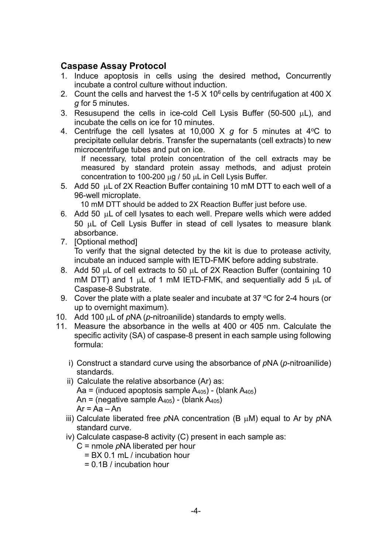### **Caspase Assay Protocol**

- 1. Induce apoptosis in cells using the desired method**,** Concurrently incubate a control culture without induction.
- 2. Count the cells and harvest the 1-5  $\times$  10<sup>6</sup> cells by centrifugation at 400  $\times$ *g* for 5 minutes.
- 3. Resusupend the cells in ice-cold Cell Lysis Buffer (50-500  $\mu$ L), and incubate the cells on ice for 10 minutes.
- 4. Centrifuge the cell lysates at 10,000 X  $q$  for 5 minutes at 4 <sup>o</sup>C to precipitate cellular debris. Transfer the supernatants (cell extracts) to new microcentrifuge tubes and put on ice.

If necessary, total protein concentration of the cell extracts may be measured by standard protein assay methods, and adjust protein concentration to 100-200 µg / 50 µL in Cell Lysis Buffer.

5. Add 50 µL of 2X Reaction Buffer containing 10 mM DTT to each well of a 96-well microplate.

10 mM DTT should be added to 2X Reaction Buffer just before use.

- 6. Add 50 µL of cell lysates to each well. Prepare wells which were added 50 µL of Cell Lysis Buffer in stead of cell lysates to measure blank absorbance.
- 7. [Optional method] To verify that the signal detected by the kit is due to protease activity, incubate an induced sample with IETD-FMK before adding substrate.
- 8. Add 50 µL of cell extracts to 50 µL of 2X Reaction Buffer (containing 10 mM DTT) and 1  $\mu$ L of 1 mM IETD-FMK, and sequentially add 5  $\mu$ L of Caspase-8 Substrate.
- 9. Cover the plate with a plate sealer and incubate at 37  $\mathrm{^{\circ}C}$  for 2-4 hours (or up to overnight maximum).
- 10. Add 100 µL of *p*NA (*p*-nitroanilide) standards to empty wells.
- 11. Measure the absorbance in the wells at 400 or 405 nm. Calculate the specific activity (SA) of caspase-8 present in each sample using following formula:
	- i) Construct a standard curve using the absorbance of *p*NA (*p*-nitroanilide) standards.
	- ii) Calculate the relative absorbance (Ar) as: Aa = (induced apoptosis sample  $A_{405}$ ) - (blank  $A_{405}$ ) An = (negative sample  $A_{405}$ ) - (blank  $A_{405}$ )  $Ar = Aa - An$
	- iii) Calculate liberated free *p*NA concentration (B µM) equal to Ar by *p*NA standard curve.
	- iv) Calculate caspase-8 activity (C) present in each sample as:
		- C = nmole *p*NA liberated per hour
			- = BX 0.1 mL / incubation hour
			- = 0.1B / incubation hour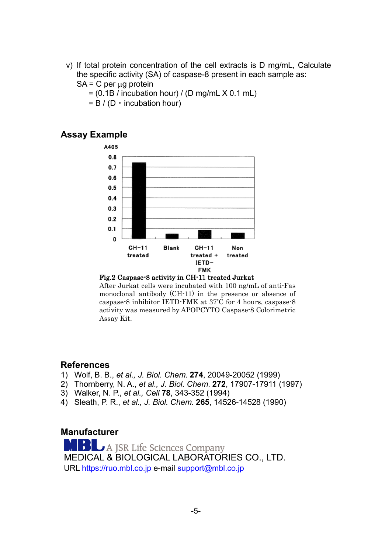- v) If total protein concentration of the cell extracts is D mg/mL, Calculate the specific activity (SA) of caspase-8 present in each sample as:
	- $SA = C$  per  $\mu q$  protein
		- $=$  (0.1B / incubation hour) / (D mg/mL  $\times$  0.1 mL)
		- $= B / (D \cdot$  incubation hour)

### **Assay Example**



#### Fig.2 Caspase-8 activity in CH-11 treated Jurkat

After Jurkat cells were incubated with 100 ng/mL of anti-Fas monoclonal antibody (CH-11) in the presence or absence of caspase-8 inhibitor IETD-FMK at 37° C for 4 hours, caspase-8 activity was measured by APOPCYTO Caspase-8 Colorimetric Assay Kit.

### **References**

- 1) Wolf, B. B., *et al., J. Biol. Chem*. **274**, 20049-20052 (1999)
- 2) Thornberry, N. A., *et al., J. Biol. Chem*. **272**, 17907-17911 (1997)
- 3) Walker, N. P., *et al., Cell* **78**, 343-352 (1994)
- 4) Sleath, P. R., *et al., J. Biol. Chem*. **265**, 14526-14528 (1990)

#### **Manufacturer**

A JSR Life Sciences Company MEDICAL & BIOLOGICAL LABORATORIES CO., LTD. URL [https://ruo.mbl.co.jp](https://ruo.mbl.co.jp/) e-mail [support@mbl.co.jp](mailto:support@mbl.co.jp)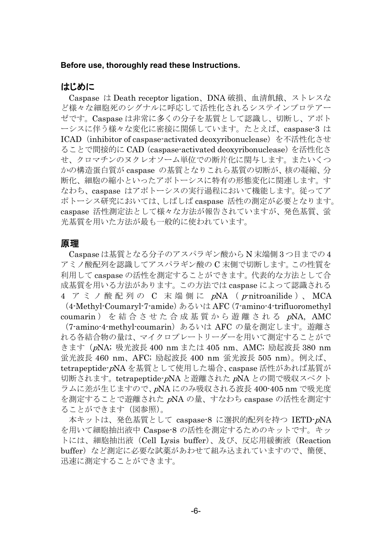#### **Before use, thoroughly read these Instructions.**

#### はじめに

Caspase は Death receptor ligation、DNA 破損、血清飢餓、ストレスな ど様々な細胞死のシグナルに呼応して活性化されるシステインプロテアー ゼです。Caspase は非常に多くの分子を基質として認識し、切断し、アポト ーシスに伴う様々な変化に密接に関係しています。たとえば、caspase-3 は ICAD (inhibitor of caspase-activated deoxyribonuclease) を不活性化させ ることで間接的に CAD(caspase-activated deoxyribonuclease)を活性化さ せ、クロマチンのヌクレオソーム単位での断片化に関与します。またいくつ かの構造蛋白質が caspase の基質となりこれら基質の切断が、核の凝縮、分 断化、細胞の縮小といったアポトーシスに特有の形態変化に関連します。す なわち、caspase はアポトーシスの実行過程において機能します。従ってア ポトーシス研究においては、しばしば caspase 活性の測定が必要となります。 caspase 活性測定法として様々な方法が報告されていますが、発色基質、蛍 光基質を用いた方法が最も一般的に使われています。

#### 原理

Caspase は基質となる分子のアスパラギン酸から N 末端側 3 つ目までの 4 アミノ酸配列を認識してアスパラギン酸の C 末側で切断します。この性質を 利用して caspase の活性を測定することができます。代表的な方法として合 成基質を用いる方法があります。この方法では caspase によって認識される 4 アミノ酸配列の C 末端側に pNA (p-nitroanilide)、MCA

(4-Methyl-Coumaryl-7-amide)あるいは AFC (7-amino-4-trifluoromethyl coumarin ) を結合させた合成基質から遊離される <sup>p</sup>NA, AMC

(7-amino-4-methyl-coumarin)あるいは AFC の量を測定します。遊離さ れる各結合物の量は、マイクロプレートリーダーを用いて測定することがで きます(pNA; 吸光波長 400 nm または 405 nm、AMC; 励起波長 380 nm 蛍光波長 460 nm、AFC; 励起波長 400 nm 蛍光波長 505 nm)。例えば、 tetrapeptide-pNA を基質として使用した場合、caspase 活性があれば基質が 切断されます。tetrapeptide-pNA と遊離された <sup>p</sup>NA との間で吸収スペクト ラムに差が生じますので、pNA にのみ吸収される波長 400-405 nm で吸光度 を測定することで遊離された <sup>p</sup>NA の量、すなわち caspase の活性を測定す ることができます(図参照)。

本キットは、発色基質として caspase-8 に選択的配列を持つ IETD-pNA を用いて細胞抽出液中 Caspse-8 の活性を測定するためのキットです。キッ トには、細胞抽出液(Cell Lysis buffer)、及び、反応用緩衝液(Reaction buffer)など測定に必要な試薬があわせて組み込まれていますので、簡便、 迅速に測定することができます。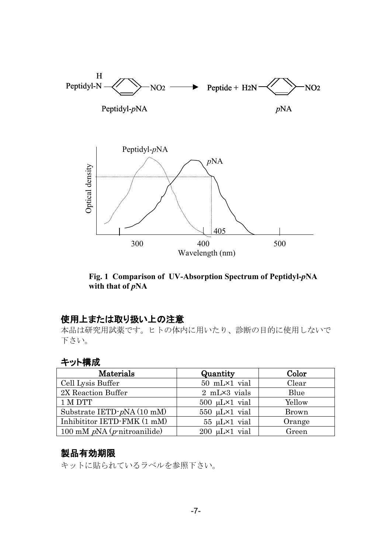

**Fig. 1 Comparison of UV-Absorption Spectrum of Peptidyl-***p***NA** with that of  $pNA$ 

### 使用上または取り扱い上の注意

本品は研究用試薬です。ヒトの体内に用いたり、診断の目的に使用しないで 下さい。

### キット構成

| Materials                              | Quantity                  | Color        |
|----------------------------------------|---------------------------|--------------|
| Cell Lysis Buffer                      | 50 mL×1 vial              | Clear        |
| 2X Reaction Buffer                     | $2$ mL $\times$ 3 vials   | Blue         |
| 1 M DTT                                | $500 \mu L \times 1$ vial | Yellow       |
| Substrate IETD-pNA (10 mM)             | $550 \mu L \times 1$ vial | <b>Brown</b> |
| Inhibititor IETD-FMK (1 mM)            | $55 \mu L \times 1$ vial  | Orange       |
| 100 mM $pNA$ ( <i>p</i> -nitroanilide) | $200 \mu L \times 1$ vial | Green        |

### 製品有効期限

キットに貼られているラベルを参照下さい。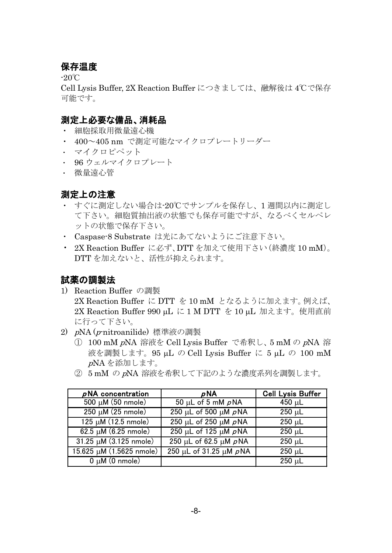### 保存温度

-20℃

Cell Lysis Buffer, 2X Reaction Buffer につきましては、融解後は 4℃で保存 可能です。

### 測定上必要な備品、消耗品

- ・ 細胞採取用微量遠心機
- ・ 400~405 nm で測定可能なマイクロプレートリーダー
- ・ マイクロピペット
- ・ 96 ウェルマイクロプレート
- ・ 微量遠心管

### 測定上の注意

- すぐに測定しない場合は-20℃でサンプルを保存し、1 週間以内に測定し て下さい。細胞質抽出液の状態でも保存可能ですが、なるべくセルペレ ットの状態で保存下さい。
- ・ Caspase-8 Substrate は光にあてないようにご注意下さい。
- ・ 2X Reaction Buffer に必ず、DTT を加えて使用下さい(終濃度 10 mM)。 DTT を加えないと、活性が抑えられます。

### 試薬の調製法

- 1) Reaction Buffer の調製 2X Reaction Buffer に DTT を 10 mM となるように加えます。例えば、 2X Reaction Buffer 990 μL に 1 M DTT を 10 μL 加えます。使用直前 に行って下さい。
- 2) <sup>p</sup>NA (p-nitroanilide) 標準液の調製
	- ① 100 mM pNA 溶液を Cell Lysis Buffer で希釈し、5 mM の <sup>p</sup>NA 溶 液を調製します。95 µL の Cell Lysis Buffer に 5 µL の 100 mM <sup>p</sup>NA を添加します。
	- ② 5 mM の <sup>p</sup>NA 溶液を希釈して下記のような濃度系列を調製します。

| $\rho$ NA concentration             | pNA                                             | <b>Cell Lysis Buffer</b> |
|-------------------------------------|-------------------------------------------------|--------------------------|
| 500 μM (50 nmole)                   | 50 µL of 5 mM $\rho$ NA                         | 450 $\mu$ L              |
| $250 \mu M (25$ nmole)              | 250 µL of 500 µM $\rho$ NA                      | $250 \mu L$              |
| 125 µM (12.5 nmole)                 | $250 \mu L$ of $250 \mu M \rho N$ A             | $250 \mu L$              |
| $62.5 \mu M (6.25 \text{ nmole})$   | $\overline{250 \mu}$ L of 125 $\mu$ M $\rho$ NA | $250 \mu L$              |
| $31.25 \mu M (3.125 \text{ nmole})$ | 250 μL of 62.5 μM pNA                           | $250 \mu L$              |
| 15.625 µM (1.5625 nmole)            | 250 μL of 31.25 μM pNA                          | $250 \mu L$              |
| $\overline{0 \mu M(0)}$ nmole)      |                                                 | $250 \mu L$              |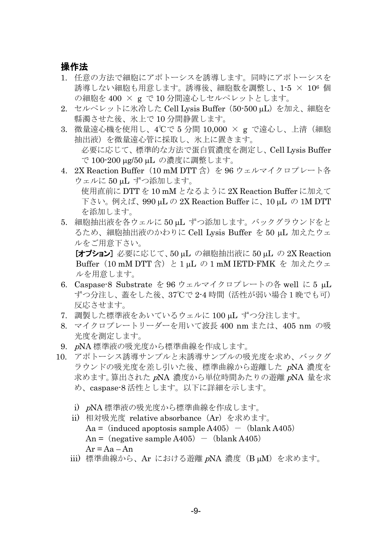#### 操作法

- 1. 任意の方法で細胞にアポトーシスを誘導します。同時にアポトーシスを 誘導しない細胞も用意します。誘導後、細胞数を調整し、1-5 × 106 個 の細胞を 400 × g で 10 分間遠心しセルペレットとします。
- 2. セルペレットに氷冷した Cell Lysis Buffer (50-500 μL) を加え、細胞を 縣濁させた後、氷上で 10 分間静置します。
- 3. 微量遠心機を使用し、4℃で 5 分間 10,000 × g で遠心し、上清(細胞 抽出液)を微量遠心管に採取し、氷上に置きます。 必要に応じて、標準的な方法で蛋白質濃度を測定し、Cell Lysis Buffer で 100-200 µg/50 µL の濃度に調整します。
- 4. 2X Reaction Buffer (10 mM DTT 含) を 96 ウェルマイクロプレート各 ウェルに 50 µL ずつ添加します。 使用直前に DTT を 10 mM となるように 2X Reaction Buffer に加えて

下さい。例えば、990 µL の 2X Reaction Buffer に、10 µL の 1M DTT を添加します。

5. 細胞抽出液を各ウェルに 50 uL ずつ添加します。 バックグラウンドをと るため、細胞抽出液のかわりに Cell Lysis Buffer を 50 µL 加えたウェ ルをご用意下さい。

[オプション] 必要に応じて、50 µL の細胞抽出液に 50 µL の 2X Reaction Buffer (10 mM DTT 含) と 1 μL の 1 mM IETD-FMK を 加えたウェ ルを用意します。

- 6. Caspase-8 Substrate を 96 ウェルマイクロプレートの各 well に 5 µL ずつ分注し、蓋をした後、37℃で 2-4 時間(活性が弱い場合1晩でも可) 反応させます。
- 7. 調製した標準液をあいているウェルに 100 µL ずつ分注します。
- 8. マイクロプレートリーダーを用いて波長 400 nm または、405 nm の吸 光度を測定します。
- 9. <sup>p</sup>NA 標準液の吸光度から標準曲線を作成します。
- 10. アポトーシス誘導サンプルと未誘導サンプルの吸光度を求め、バックグ ラウンドの吸光度を差し引いた後、標準曲線から遊離した pNA 濃度を 求めます。算出された <sup>p</sup>NA 濃度から単位時間あたりの遊離 <sup>p</sup>NA 量を求 め、caspase-8 活性とします。以下に詳細を示します。
	- i) <sup>p</sup>NA 標準液の吸光度から標準曲線を作成します。
	- ii) 相対吸光度 relative absorbance(Ar)を求めます。  $Aa = (induced apoptosis sample A405) - (blank A405)$ An = (negative sample A405) - (blank A405)  $Ar = Aa - An$
	- iii) 標準曲線から、Ar における遊離 pNA 濃度 (B µM) を求めます。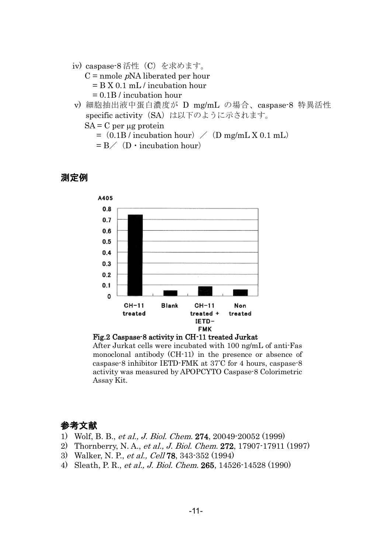- iv) caspase-8 活性(C)を求めます。
	- $C =$  nmole  $pNA$  liberated per hour = B X 0.1 mL / incubation hour = 0.1B / incubation hour
- v) 細胞抽出液中蛋白濃度が D mg/mL の場合、caspase-8 特異活性 specific activity (SA) は以下のように示されます。
	- $SA = C$  per  $\mu$ g protein

 $=$  (0.1B / incubation hour)  $/$  (D mg/mL X 0.1 mL)

 $= B \angle$  (D · incubation hour)

### 測定例





After Jurkat cells were incubated with 100 ng/mL of anti-Fas monoclonal antibody (CH-11) in the presence or absence of caspase-8 inhibitor IETD-FMK at 37° C for 4 hours, caspase-8 activity was measured by APOPCYTO Caspase-8 Colorimetric Assay Kit.

### 参考文献

- 1) Wolf, B. B., et al., J. Biol. Chem. 274, 20049-20052 (1999)
- 2) Thornberry, N. A., et al., J. Biol. Chem. 272, 17907-17911 (1997)
- 3) Walker, N. P., et al., Cell 78, 343-352 (1994)
- 4) Sleath, P. R., et al., J. Biol. Chem. 265, 14526-14528 (1990)